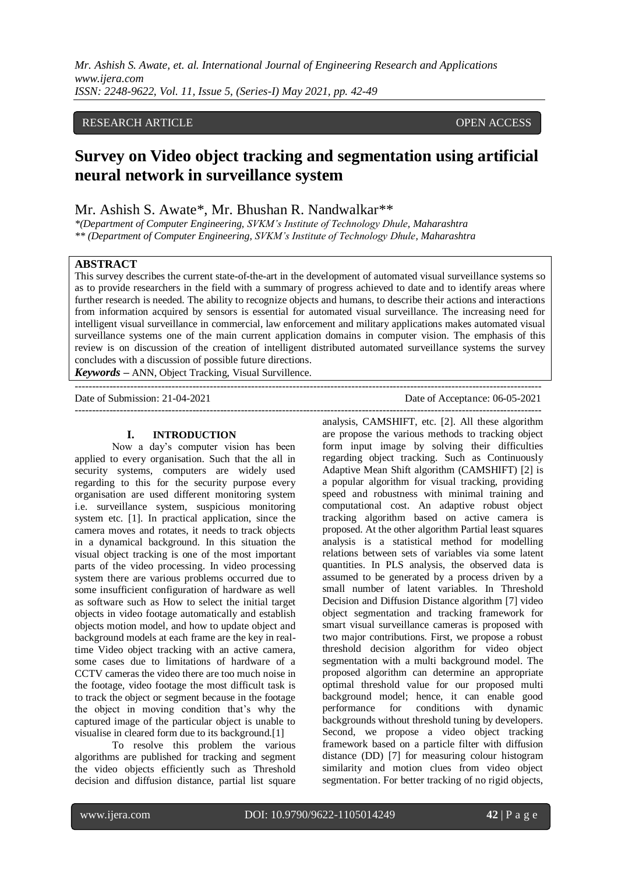## RESEARCH ARTICLE **CONSERVERS** OPEN ACCESS

# **Survey on Video object tracking and segmentation using artificial neural network in surveillance system**

## Mr. Ashish S. Awate\*, Mr. Bhushan R. Nandwalkar\*\*

*\*(Department of Computer Engineering, SVKM's Institute of Technology Dhule, Maharashtra \*\* (Department of Computer Engineering, SVKM's Institute of Technology Dhule, Maharashtra*

#### **ABSTRACT**

This survey describes the current state-of-the-art in the development of automated visual surveillance systems so as to provide researchers in the field with a summary of progress achieved to date and to identify areas where further research is needed. The ability to recognize objects and humans, to describe their actions and interactions from information acquired by sensors is essential for automated visual surveillance. The increasing need for intelligent visual surveillance in commercial, law enforcement and military applications makes automated visual surveillance systems one of the main current application domains in computer vision. The emphasis of this review is on discussion of the creation of intelligent distributed automated surveillance systems the survey concludes with a discussion of possible future directions.

---------------------------------------------------------------------------------------------------------------------------------------

*Keywords* **–** ANN, Object Tracking, Visual Survillence.

Date of Submission: 21-04-2021 Date of Acceptance: 06-05-2021 ---------------------------------------------------------------------------------------------------------------------------------------

#### **I. INTRODUCTION**

Now a day's computer vision has been applied to every organisation. Such that the all in security systems, computers are widely used regarding to this for the security purpose every organisation are used different monitoring system i.e. surveillance system, suspicious monitoring system etc. [1]. In practical application, since the camera moves and rotates, it needs to track objects in a dynamical background. In this situation the visual object tracking is one of the most important parts of the video processing. In video processing system there are various problems occurred due to some insufficient configuration of hardware as well as software such as How to select the initial target objects in video footage automatically and establish objects motion model, and how to update object and background models at each frame are the key in realtime Video object tracking with an active camera, some cases due to limitations of hardware of a CCTV cameras the video there are too much noise in the footage, video footage the most difficult task is to track the object or segment because in the footage the object in moving condition that's why the captured image of the particular object is unable to visualise in cleared form due to its background.[1]

To resolve this problem the various algorithms are published for tracking and segment the video objects efficiently such as Threshold decision and diffusion distance, partial list square

analysis, CAMSHIFT, etc. [2]. All these algorithm are propose the various methods to tracking object form input image by solving their difficulties regarding object tracking. Such as Continuously Adaptive Mean Shift algorithm (CAMSHIFT) [2] is a popular algorithm for visual tracking, providing speed and robustness with minimal training and computational cost. An adaptive robust object tracking algorithm based on active camera is proposed. At the other algorithm Partial least squares analysis is a statistical method for modelling relations between sets of variables via some latent quantities. In PLS analysis, the observed data is assumed to be generated by a process driven by a small number of latent variables. In Threshold Decision and Diffusion Distance algorithm [7] video object segmentation and tracking framework for smart visual surveillance cameras is proposed with two major contributions. First, we propose a robust threshold decision algorithm for video object segmentation with a multi background model. The proposed algorithm can determine an appropriate optimal threshold value for our proposed multi background model; hence, it can enable good performance for conditions with dynamic backgrounds without threshold tuning by developers. Second, we propose a video object tracking framework based on a particle filter with diffusion distance (DD) [7] for measuring colour histogram similarity and motion clues from video object segmentation. For better tracking of no rigid objects,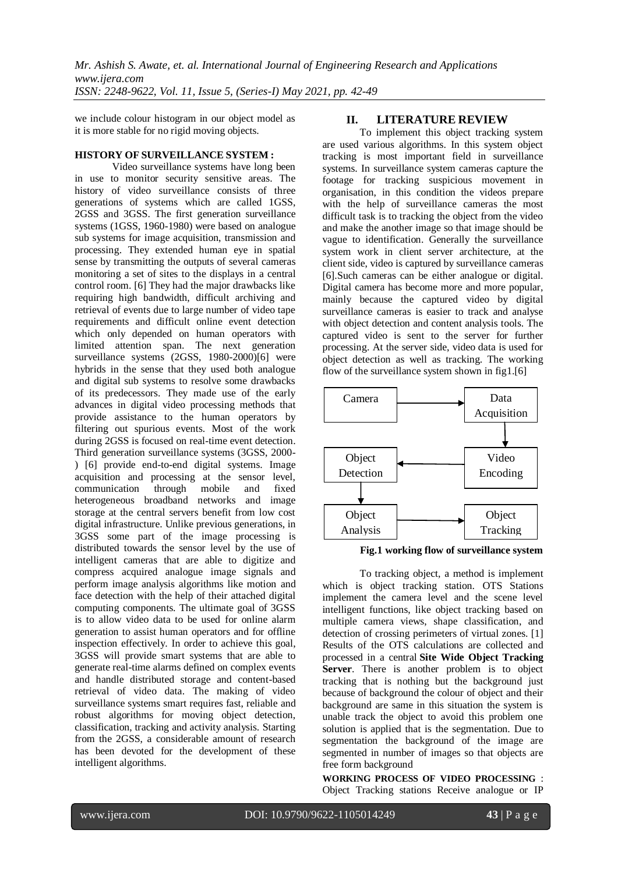we include colour histogram in our object model as it is more stable for no rigid moving objects.

## **HISTORY OF SURVEILLANCE SYSTEM :**

Video surveillance systems have long been in use to monitor security sensitive areas. The history of video surveillance consists of three generations of systems which are called 1GSS, 2GSS and 3GSS. The first generation surveillance systems (1GSS, 1960-1980) were based on analogue sub systems for image acquisition, transmission and processing. They extended human eye in spatial sense by transmitting the outputs of several cameras monitoring a set of sites to the displays in a central control room. [6] They had the major drawbacks like requiring high bandwidth, difficult archiving and retrieval of events due to large number of video tape requirements and difficult online event detection which only depended on human operators with limited attention span. The next generation surveillance systems (2GSS, 1980-2000)[6] were hybrids in the sense that they used both analogue and digital sub systems to resolve some drawbacks of its predecessors. They made use of the early advances in digital video processing methods that provide assistance to the human operators by filtering out spurious events. Most of the work during 2GSS is focused on real-time event detection. Third generation surveillance systems (3GSS, 2000- ) [6] provide end-to-end digital systems. Image acquisition and processing at the sensor level, communication through mobile and fixed heterogeneous broadband networks and image storage at the central servers benefit from low cost digital infrastructure. Unlike previous generations, in 3GSS some part of the image processing is distributed towards the sensor level by the use of intelligent cameras that are able to digitize and compress acquired analogue image signals and perform image analysis algorithms like motion and face detection with the help of their attached digital computing components. The ultimate goal of 3GSS is to allow video data to be used for online alarm generation to assist human operators and for offline inspection effectively. In order to achieve this goal, 3GSS will provide smart systems that are able to generate real-time alarms defined on complex events and handle distributed storage and content-based retrieval of video data. The making of video surveillance systems smart requires fast, reliable and robust algorithms for moving object detection, classification, tracking and activity analysis. Starting from the 2GSS, a considerable amount of research has been devoted for the development of these intelligent algorithms.

## **II. LITERATURE REVIEW**

To implement this object tracking system are used various algorithms. In this system object tracking is most important field in surveillance systems. In surveillance system cameras capture the footage for tracking suspicious movement in organisation, in this condition the videos prepare with the help of surveillance cameras the most difficult task is to tracking the object from the video and make the another image so that image should be vague to identification. Generally the surveillance system work in client server architecture, at the client side, video is captured by surveillance cameras [6].Such cameras can be either analogue or digital. Digital camera has become more and more popular, mainly because the captured video by digital surveillance cameras is easier to track and analyse with object detection and content analysis tools. The captured video is sent to the server for further processing. At the server side, video data is used for object detection as well as tracking. The working flow of the surveillance system shown in fig1.[6]





To tracking object, a method is implement which is object tracking station. OTS Stations implement the camera level and the scene level intelligent functions, like object tracking based on multiple camera views, shape classification, and detection of crossing perimeters of virtual zones. [1] Results of the OTS calculations are collected and processed in a central **Site Wide Object Tracking Server**. There is another problem is to object tracking that is nothing but the background just because of background the colour of object and their background are same in this situation the system is unable track the object to avoid this problem one solution is applied that is the segmentation. Due to segmentation the background of the image are segmented in number of images so that objects are free form background

**WORKING PROCESS OF VIDEO PROCESSING** : Object Tracking stations Receive analogue or IP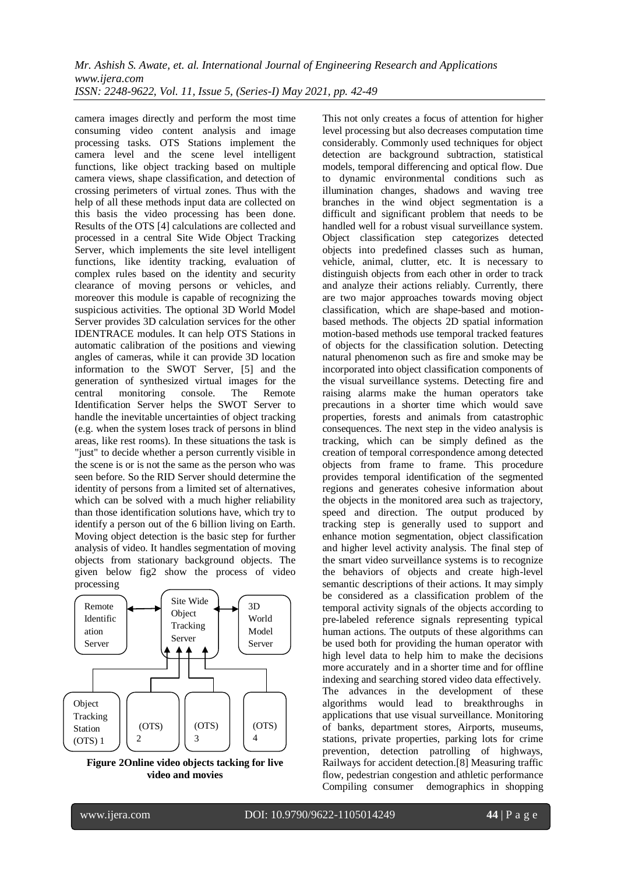camera images directly and perform the most time consuming video content analysis and image processing tasks. OTS Stations implement the camera level and the scene level intelligent functions, like object tracking based on multiple camera views, shape classification, and detection of crossing perimeters of virtual zones. Thus with the help of all these methods input data are collected on this basis the video processing has been done. Results of the OTS [4] calculations are collected and processed in a central Site Wide Object Tracking Server, which implements the site level intelligent functions, like identity tracking, evaluation of complex rules based on the identity and security clearance of moving persons or vehicles, and moreover this module is capable of recognizing the suspicious activities. The optional 3D World Model Server provides 3D calculation services for the other IDENTRACE modules. It can help OTS Stations in automatic calibration of the positions and viewing angles of cameras, while it can provide 3D location information to the SWOT Server, [5] and the generation of synthesized virtual images for the central monitoring console. The Remote Identification Server helps the SWOT Server to handle the inevitable uncertainties of object tracking (e.g. when the system loses track of persons in blind areas, like rest rooms). In these situations the task is "just" to decide whether a person currently visible in the scene is or is not the same as the person who was seen before. So the RID Server should determine the identity of persons from a limited set of alternatives, which can be solved with a much higher reliability than those identification solutions have, which try to identify a person out of the 6 billion living on Earth. Moving object detection is the basic step for further analysis of video. It handles segmentation of moving objects from stationary background objects. The given below fig2 show the process of video processing



**Figure 2Online video objects tacking for live video and movies**

This not only creates a focus of attention for higher level processing but also decreases computation time considerably. Commonly used techniques for object detection are background subtraction, statistical models, temporal differencing and optical flow. Due to dynamic environmental conditions such as illumination changes, shadows and waving tree branches in the wind object segmentation is a difficult and significant problem that needs to be handled well for a robust visual surveillance system. Object classification step categorizes detected objects into predefined classes such as human, vehicle, animal, clutter, etc. It is necessary to distinguish objects from each other in order to track and analyze their actions reliably. Currently, there are two major approaches towards moving object classification, which are shape-based and motionbased methods. The objects 2D spatial information motion-based methods use temporal tracked features of objects for the classification solution. Detecting natural phenomenon such as fire and smoke may be incorporated into object classification components of the visual surveillance systems. Detecting fire and raising alarms make the human operators take precautions in a shorter time which would save properties, forests and animals from catastrophic consequences. The next step in the video analysis is tracking, which can be simply defined as the creation of temporal correspondence among detected objects from frame to frame. This procedure provides temporal identification of the segmented regions and generates cohesive information about the objects in the monitored area such as trajectory, speed and direction. The output produced by tracking step is generally used to support and enhance motion segmentation, object classification and higher level activity analysis. The final step of the smart video surveillance systems is to recognize the behaviors of objects and create high-level semantic descriptions of their actions. It may simply be considered as a classification problem of the temporal activity signals of the objects according to pre-labeled reference signals representing typical human actions. The outputs of these algorithms can be used both for providing the human operator with high level data to help him to make the decisions more accurately and in a shorter time and for offline indexing and searching stored video data effectively. The advances in the development of these algorithms would lead to breakthroughs in applications that use visual surveillance. Monitoring of banks, department stores, Airports, museums, stations, private properties, parking lots for crime prevention, detection patrolling of highways, Railways for accident detection.[8] Measuring traffic flow, pedestrian congestion and athletic performance Compiling consumer demographics in shopping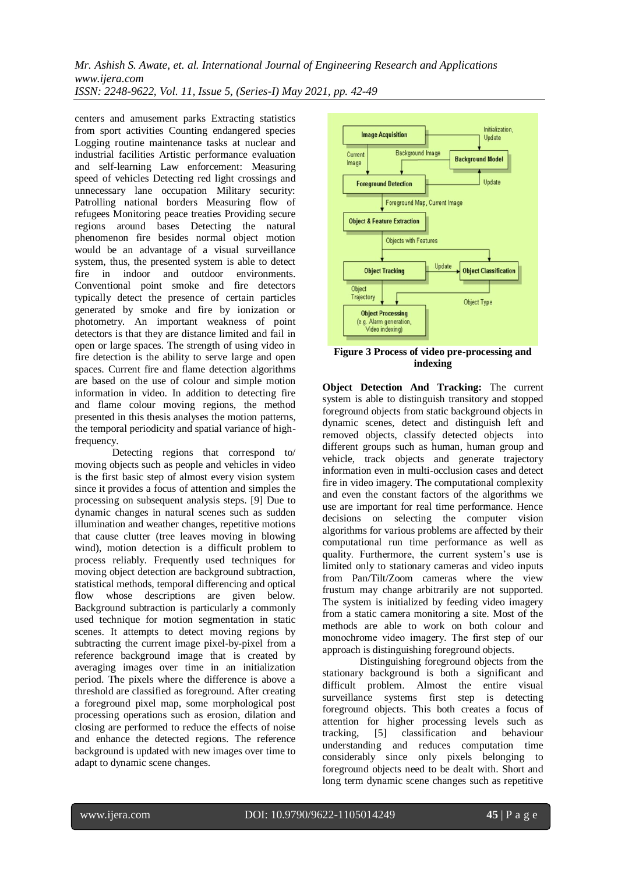centers and amusement parks Extracting statistics from sport activities Counting endangered species Logging routine maintenance tasks at nuclear and industrial facilities Artistic performance evaluation and self-learning Law enforcement: Measuring speed of vehicles Detecting red light crossings and unnecessary lane occupation Military security: Patrolling national borders Measuring flow of refugees Monitoring peace treaties Providing secure regions around bases Detecting the natural phenomenon fire besides normal object motion would be an advantage of a visual surveillance system, thus, the presented system is able to detect fire in indoor and outdoor environments. Conventional point smoke and fire detectors typically detect the presence of certain particles generated by smoke and fire by ionization or photometry. An important weakness of point detectors is that they are distance limited and fail in open or large spaces. The strength of using video in fire detection is the ability to serve large and open spaces. Current fire and flame detection algorithms are based on the use of colour and simple motion information in video. In addition to detecting fire and flame colour moving regions, the method presented in this thesis analyses the motion patterns, the temporal periodicity and spatial variance of highfrequency.

Detecting regions that correspond to/ moving objects such as people and vehicles in video is the first basic step of almost every vision system since it provides a focus of attention and simples the processing on subsequent analysis steps. [9] Due to dynamic changes in natural scenes such as sudden illumination and weather changes, repetitive motions that cause clutter (tree leaves moving in blowing wind), motion detection is a difficult problem to process reliably. Frequently used techniques for moving object detection are background subtraction, statistical methods, temporal differencing and optical flow whose descriptions are given below. Background subtraction is particularly a commonly used technique for motion segmentation in static scenes. It attempts to detect moving regions by subtracting the current image pixel-by-pixel from a reference background image that is created by averaging images over time in an initialization period. The pixels where the difference is above a threshold are classified as foreground. After creating a foreground pixel map, some morphological post processing operations such as erosion, dilation and closing are performed to reduce the effects of noise and enhance the detected regions. The reference background is updated with new images over time to adapt to dynamic scene changes.



**Figure 3 Process of video pre-processing and indexing**

**Object Detection And Tracking:** The current system is able to distinguish transitory and stopped foreground objects from static background objects in dynamic scenes, detect and distinguish left and removed objects, classify detected objects into different groups such as human, human group and vehicle, track objects and generate trajectory information even in multi-occlusion cases and detect fire in video imagery. The computational complexity and even the constant factors of the algorithms we use are important for real time performance. Hence decisions on selecting the computer vision algorithms for various problems are affected by their computational run time performance as well as quality. Furthermore, the current system's use is limited only to stationary cameras and video inputs from Pan/Tilt/Zoom cameras where the view frustum may change arbitrarily are not supported. The system is initialized by feeding video imagery from a static camera monitoring a site. Most of the methods are able to work on both colour and monochrome video imagery. The first step of our approach is distinguishing foreground objects.

Distinguishing foreground objects from the stationary background is both a significant and difficult problem. Almost the entire visual surveillance systems first step is detecting foreground objects. This both creates a focus of attention for higher processing levels such as tracking, [5] classification and behaviour understanding and reduces computation time considerably since only pixels belonging to foreground objects need to be dealt with. Short and long term dynamic scene changes such as repetitive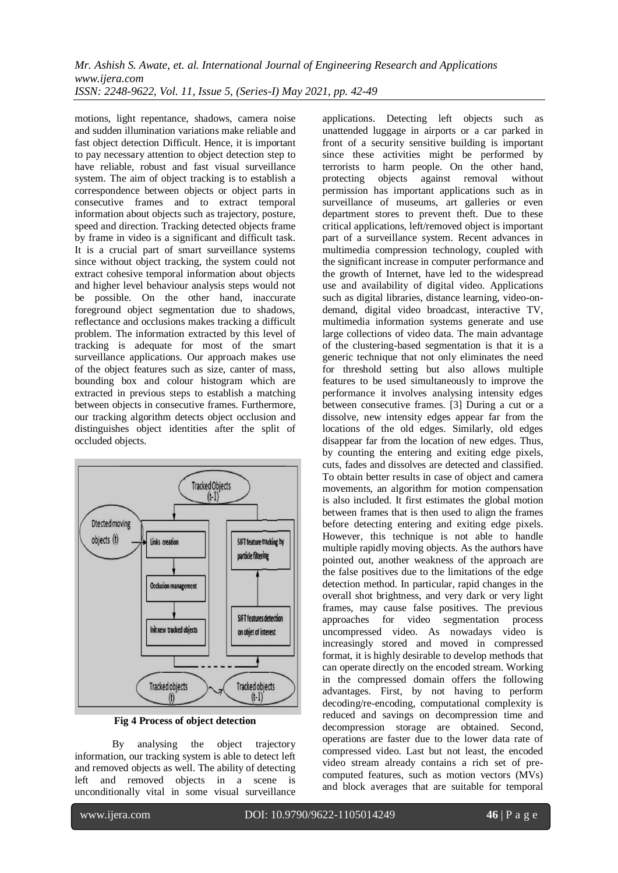motions, light repentance, shadows, camera noise and sudden illumination variations make reliable and fast object detection Difficult. Hence, it is important to pay necessary attention to object detection step to have reliable, robust and fast visual surveillance system. The aim of object tracking is to establish a correspondence between objects or object parts in consecutive frames and to extract temporal information about objects such as trajectory, posture, speed and direction. Tracking detected objects frame by frame in video is a significant and difficult task. It is a crucial part of smart surveillance systems since without object tracking, the system could not extract cohesive temporal information about objects and higher level behaviour analysis steps would not be possible. On the other hand, inaccurate foreground object segmentation due to shadows, reflectance and occlusions makes tracking a difficult problem. The information extracted by this level of tracking is adequate for most of the smart surveillance applications. Our approach makes use of the object features such as size, canter of mass, bounding box and colour histogram which are extracted in previous steps to establish a matching between objects in consecutive frames. Furthermore, our tracking algorithm detects object occlusion and distinguishes object identities after the split of occluded objects.



**Fig 4 Process of object detection**

By analysing the object trajectory information, our tracking system is able to detect left and removed objects as well. The ability of detecting left and removed objects in a scene is unconditionally vital in some visual surveillance

applications. Detecting left objects such as unattended luggage in airports or a car parked in front of a security sensitive building is important since these activities might be performed by terrorists to harm people. On the other hand, protecting objects against removal without permission has important applications such as in surveillance of museums, art galleries or even department stores to prevent theft. Due to these critical applications, left/removed object is important part of a surveillance system. Recent advances in multimedia compression technology, coupled with the significant increase in computer performance and the growth of Internet, have led to the widespread use and availability of digital video. Applications such as digital libraries, distance learning, video-ondemand, digital video broadcast, interactive TV, multimedia information systems generate and use large collections of video data. The main advantage of the clustering-based segmentation is that it is a generic technique that not only eliminates the need for threshold setting but also allows multiple features to be used simultaneously to improve the performance it involves analysing intensity edges between consecutive frames. [3] During a cut or a dissolve, new intensity edges appear far from the locations of the old edges. Similarly, old edges disappear far from the location of new edges. Thus, by counting the entering and exiting edge pixels, cuts, fades and dissolves are detected and classified. To obtain better results in case of object and camera movements, an algorithm for motion compensation is also included. It first estimates the global motion between frames that is then used to align the frames before detecting entering and exiting edge pixels. However, this technique is not able to handle multiple rapidly moving objects. As the authors have pointed out, another weakness of the approach are the false positives due to the limitations of the edge detection method. In particular, rapid changes in the overall shot brightness, and very dark or very light frames, may cause false positives. The previous approaches for video segmentation process uncompressed video. As nowadays video is increasingly stored and moved in compressed format, it is highly desirable to develop methods that can operate directly on the encoded stream. Working in the compressed domain offers the following advantages. First, by not having to perform decoding/re-encoding, computational complexity is reduced and savings on decompression time and decompression storage are obtained. Second, operations are faster due to the lower data rate of compressed video. Last but not least, the encoded video stream already contains a rich set of precomputed features, such as motion vectors (MVs) and block averages that are suitable for temporal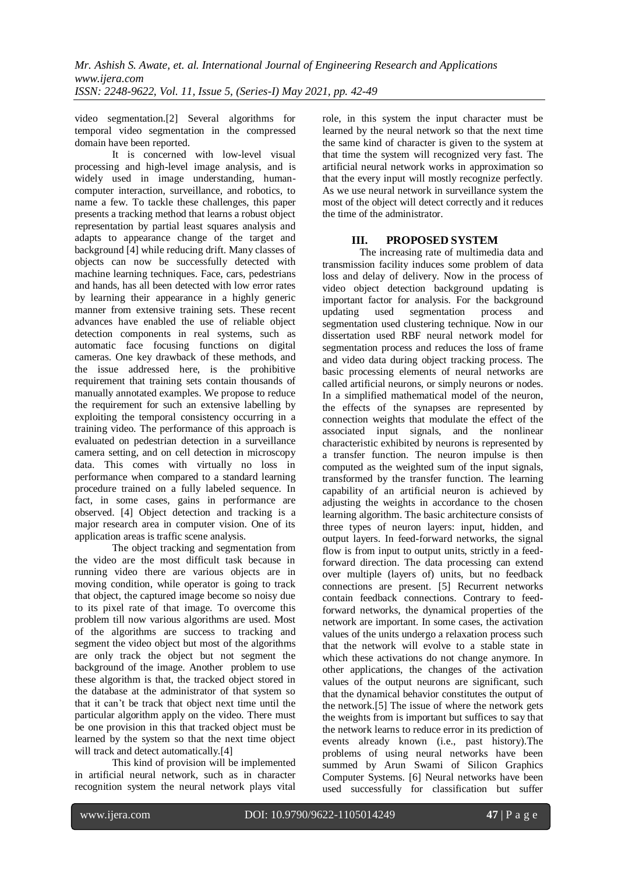video segmentation.[2] Several algorithms for temporal video segmentation in the compressed domain have been reported.

It is concerned with low-level visual processing and high-level image analysis, and is widely used in image understanding, humancomputer interaction, surveillance, and robotics, to name a few. To tackle these challenges, this paper presents a tracking method that learns a robust object representation by partial least squares analysis and adapts to appearance change of the target and background [4] while reducing drift. Many classes of objects can now be successfully detected with machine learning techniques. Face, cars, pedestrians and hands, has all been detected with low error rates by learning their appearance in a highly generic manner from extensive training sets. These recent advances have enabled the use of reliable object detection components in real systems, such as automatic face focusing functions on digital cameras. One key drawback of these methods, and the issue addressed here, is the prohibitive requirement that training sets contain thousands of manually annotated examples. We propose to reduce the requirement for such an extensive labelling by exploiting the temporal consistency occurring in a training video. The performance of this approach is evaluated on pedestrian detection in a surveillance camera setting, and on cell detection in microscopy data. This comes with virtually no loss in performance when compared to a standard learning procedure trained on a fully labeled sequence. In fact, in some cases, gains in performance are observed. [4] Object detection and tracking is a major research area in computer vision. One of its application areas is traffic scene analysis.

The object tracking and segmentation from the video are the most difficult task because in running video there are various objects are in moving condition, while operator is going to track that object, the captured image become so noisy due to its pixel rate of that image. To overcome this problem till now various algorithms are used. Most of the algorithms are success to tracking and segment the video object but most of the algorithms are only track the object but not segment the background of the image. Another problem to use these algorithm is that, the tracked object stored in the database at the administrator of that system so that it can't be track that object next time until the particular algorithm apply on the video. There must be one provision in this that tracked object must be learned by the system so that the next time object will track and detect automatically.[4]

This kind of provision will be implemented in artificial neural network, such as in character recognition system the neural network plays vital

role, in this system the input character must be learned by the neural network so that the next time the same kind of character is given to the system at that time the system will recognized very fast. The artificial neural network works in approximation so that the every input will mostly recognize perfectly. As we use neural network in surveillance system the most of the object will detect correctly and it reduces the time of the administrator.

# **III. PROPOSED SYSTEM**

The increasing rate of multimedia data and transmission facility induces some problem of data loss and delay of delivery. Now in the process of video object detection background updating is important factor for analysis. For the background updating used segmentation process and segmentation used clustering technique. Now in our dissertation used RBF neural network model for segmentation process and reduces the loss of frame and video data during object tracking process. The basic processing elements of neural networks are called artificial neurons, or simply neurons or nodes. In a simplified mathematical model of the neuron, the effects of the synapses are represented by connection weights that modulate the effect of the associated input signals, and the nonlinear characteristic exhibited by neurons is represented by a transfer function. The neuron impulse is then computed as the weighted sum of the input signals, transformed by the transfer function. The learning capability of an artificial neuron is achieved by adjusting the weights in accordance to the chosen learning algorithm. The basic architecture consists of three types of neuron layers: input, hidden, and output layers. In feed-forward networks, the signal flow is from input to output units, strictly in a feedforward direction. The data processing can extend over multiple (layers of) units, but no feedback connections are present. [5] Recurrent networks contain feedback connections. Contrary to feedforward networks, the dynamical properties of the network are important. In some cases, the activation values of the units undergo a relaxation process such that the network will evolve to a stable state in which these activations do not change anymore. In other applications, the changes of the activation values of the output neurons are significant, such that the dynamical behavior constitutes the output of the network.[5] The issue of where the network gets the weights from is important but suffices to say that the network learns to reduce error in its prediction of events already known (i.e., past history).The problems of using neural networks have been summed by Arun Swami of Silicon Graphics Computer Systems. [6] Neural networks have been used successfully for classification but suffer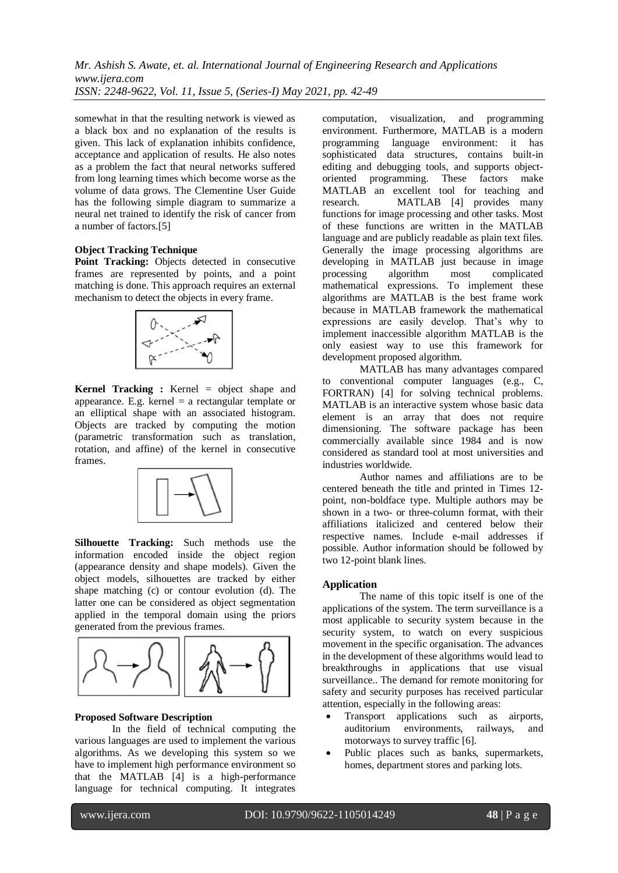somewhat in that the resulting network is viewed as a black box and no explanation of the results is given. This lack of explanation inhibits confidence, acceptance and application of results. He also notes as a problem the fact that neural networks suffered from long learning times which become worse as the volume of data grows. The Clementine User Guide has the following simple diagram to summarize a neural net trained to identify the risk of cancer from a number of factors.[5]

#### **Object Tracking Technique**

**Point Tracking:** Objects detected in consecutive frames are represented by points, and a point matching is done. This approach requires an external mechanism to detect the objects in every frame.



**Kernel Tracking :** Kernel = object shape and appearance. E.g. kernel  $=$  a rectangular template or an elliptical shape with an associated histogram. Objects are tracked by computing the motion (parametric transformation such as translation, rotation, and affine) of the kernel in consecutive frames.



**Silhouette Tracking:** Such methods use the information encoded inside the object region (appearance density and shape models). Given the object models, silhouettes are tracked by either shape matching (c) or contour evolution (d). The latter one can be considered as object segmentation applied in the temporal domain using the priors generated from the previous frames.



## **Proposed Software Description**

In the field of technical computing the various languages are used to implement the various algorithms. As we developing this system so we have to implement high performance environment so that the MATLAB [4] is a high-performance language for technical computing. It integrates

computation, visualization, and programming environment. Furthermore, MATLAB is a modern programming language environment: it has sophisticated data structures, contains built-in editing and debugging tools, and supports objectoriented programming. These factors make MATLAB an excellent tool for teaching and research. MATLAB [4] provides many functions for image processing and other tasks. Most of these functions are written in the MATLAB language and are publicly readable as plain text files. Generally the image processing algorithms are developing in MATLAB just because in image processing algorithm most complicated mathematical expressions. To implement these algorithms are MATLAB is the best frame work because in MATLAB framework the mathematical expressions are easily develop. That's why to implement inaccessible algorithm MATLAB is the only easiest way to use this framework for development proposed algorithm.

MATLAB has many advantages compared to conventional computer languages (e.g., C, FORTRAN) [4] for solving technical problems. MATLAB is an interactive system whose basic data element is an array that does not require dimensioning. The software package has been commercially available since 1984 and is now considered as standard tool at most universities and industries worldwide.

Author names and affiliations are to be centered beneath the title and printed in Times 12 point, non-boldface type. Multiple authors may be shown in a two- or three-column format, with their affiliations italicized and centered below their respective names. Include e-mail addresses if possible. Author information should be followed by two 12-point blank lines.

## **Application**

The name of this topic itself is one of the applications of the system. The term surveillance is a most applicable to security system because in the security system, to watch on every suspicious movement in the specific organisation. The advances in the development of these algorithms would lead to breakthroughs in applications that use visual surveillance.. The demand for remote monitoring for safety and security purposes has received particular attention, especially in the following areas:

- Transport applications such as airports, auditorium environments, railways, and motorways to survey traffic [6].
- Public places such as banks, supermarkets, homes, department stores and parking lots.